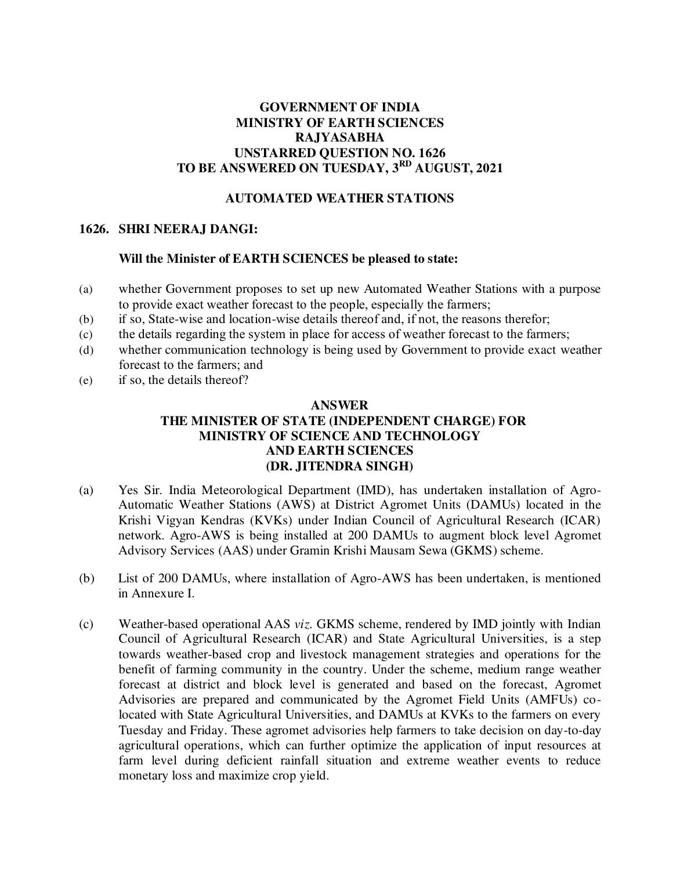# **GOVERNMENT OF INDIA MINISTRY OF EARTH SCIENCES RAJYASABHA UNSTARRED QUESTION NO. 1626 TO BE ANSWERED ON TUESDAY, 3 RD AUGUST, 2021**

## **AUTOMATED WEATHER STATIONS**

### **1626. SHRI NEERAJ DANGI:**

#### **Will the Minister of EARTH SCIENCES be pleased to state:**

- (a) whether Government proposes to set up new Automated Weather Stations with a purpose to provide exact weather forecast to the people, especially the farmers;
- (b) if so, State-wise and location-wise details thereof and, if not, the reasons therefor;
- (c) the details regarding the system in place for access of weather forecast to the farmers;
- (d) whether communication technology is being used by Government to provide exact weather forecast to the farmers; and
- (e) if so, the details thereof?

#### **ANSWER**

# **THE MINISTER OF STATE (INDEPENDENT CHARGE) FOR MINISTRY OF SCIENCE AND TECHNOLOGY AND EARTH SCIENCES (DR. JITENDRA SINGH)**

- (a) Yes Sir. India Meteorological Department (IMD), has undertaken installation of Agro-Automatic Weather Stations (AWS) at District Agromet Units (DAMUs) located in the Krishi Vigyan Kendras (KVKs) under Indian Council of Agricultural Research (ICAR) network. Agro-AWS is being installed at 200 DAMUs to augment block level Agromet Advisory Services (AAS) under Gramin Krishi Mausam Sewa (GKMS) scheme.
- (b) List of 200 DAMUs, where installation of Agro-AWS has been undertaken, is mentioned in Annexure I.
- (c) Weather-based operational AAS *viz.* GKMS scheme, rendered by IMD jointly with Indian Council of Agricultural Research (ICAR) and State Agricultural Universities, is a step towards weather-based crop and livestock management strategies and operations for the benefit of farming community in the country. Under the scheme, medium range weather forecast at district and block level is generated and based on the forecast, Agromet Advisories are prepared and communicated by the Agromet Field Units (AMFUs) colocated with State Agricultural Universities, and DAMUs at KVKs to the farmers on every Tuesday and Friday. These agromet advisories help farmers to take decision on day-to-day agricultural operations, which can further optimize the application of input resources at farm level during deficient rainfall situation and extreme weather events to reduce monetary loss and maximize crop yield.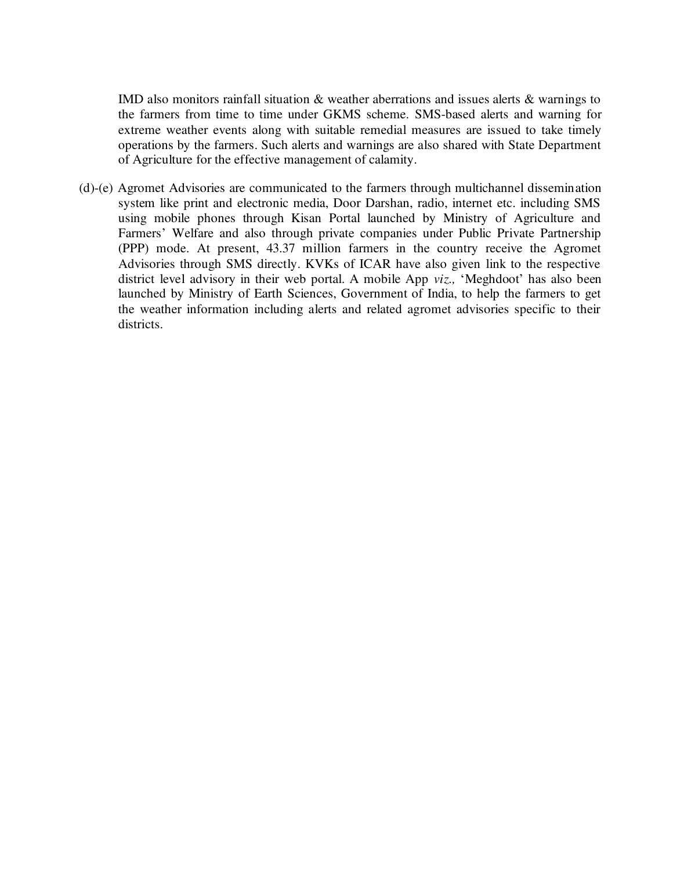IMD also monitors rainfall situation & weather aberrations and issues alerts & warnings to the farmers from time to time under GKMS scheme. SMS-based alerts and warning for extreme weather events along with suitable remedial measures are issued to take timely operations by the farmers. Such alerts and warnings are also shared with State Department of Agriculture for the effective management of calamity.

(d)-(e) Agromet Advisories are communicated to the farmers through multichannel dissemination system like print and electronic media, Door Darshan, radio, internet etc. including SMS using mobile phones through Kisan Portal launched by Ministry of Agriculture and Farmers' Welfare and also through private companies under Public Private Partnership (PPP) mode. At present, 43.37 million farmers in the country receive the Agromet Advisories through SMS directly. KVKs of ICAR have also given link to the respective district level advisory in their web portal. A mobile App *viz.,* 'Meghdoot' has also been launched by Ministry of Earth Sciences, Government of India, to help the farmers to get the weather information including alerts and related agromet advisories specific to their districts.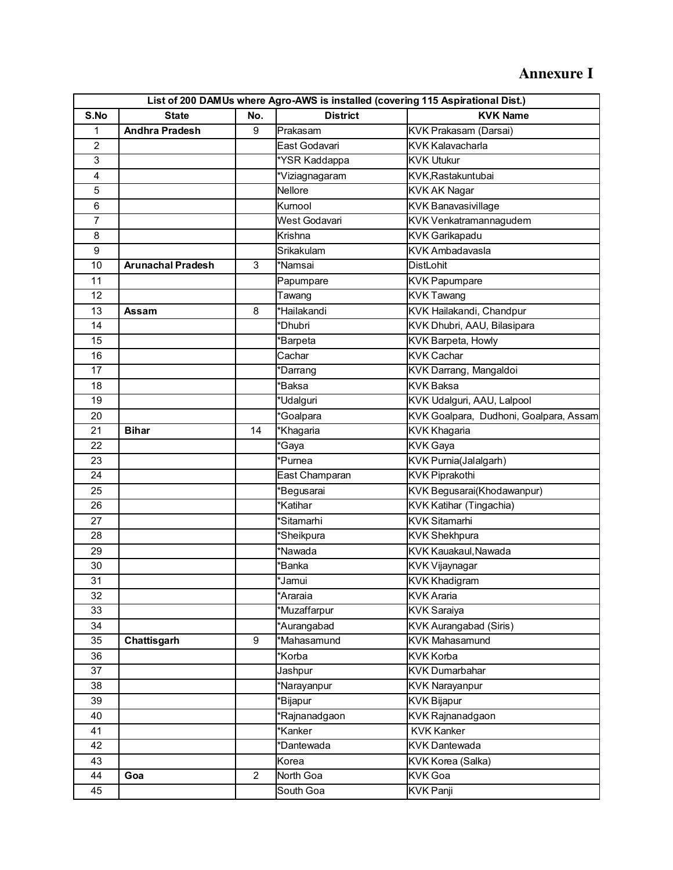# **Annexure I**

| List of 200 DAMUs where Agro-AWS is installed (covering 115 Aspirational Dist.) |                          |                |                  |                                        |
|---------------------------------------------------------------------------------|--------------------------|----------------|------------------|----------------------------------------|
| S.No                                                                            | <b>State</b>             | No.            | <b>District</b>  | <b>KVK Name</b>                        |
| 1                                                                               | <b>Andhra Pradesh</b>    | 9              | Prakasam         | KVK Prakasam (Darsai)                  |
| $\overline{2}$                                                                  |                          |                | East Godavari    | <b>KVK Kalavacharla</b>                |
| 3                                                                               |                          |                | *YSR Kaddappa    | <b>KVK Utukur</b>                      |
| $\overline{4}$                                                                  |                          |                | *Viziagnagaram   | KVK, Rastakuntubai                     |
| 5                                                                               |                          |                | Nellore          | <b>KVK AK Nagar</b>                    |
| $6\phantom{1}$                                                                  |                          |                | Kurnool          | <b>KVK Banavasivillage</b>             |
| $\overline{7}$                                                                  |                          |                | West Godavari    | KVK Venkatramannagudem                 |
| 8                                                                               |                          |                | Krishna          | <b>KVK Garikapadu</b>                  |
| 9                                                                               |                          |                | Srikakulam       | <b>KVK Ambadavasla</b>                 |
| 10                                                                              | <b>Arunachal Pradesh</b> | 3              | *Namsai          | <b>DistLohit</b>                       |
| 11                                                                              |                          |                | Papumpare        | <b>KVK Papumpare</b>                   |
| 12                                                                              |                          |                | Tawang           | <b>KVK Tawang</b>                      |
| 13                                                                              | Assam                    | 8              | *Hailakandi      | KVK Hailakandi, Chandpur               |
| 14                                                                              |                          |                | *Dhubri          | KVK Dhubri, AAU, Bilasipara            |
| 15                                                                              |                          |                | *Barpeta         | KVK Barpeta, Howly                     |
| 16                                                                              |                          |                | Cachar           | <b>KVK Cachar</b>                      |
| 17                                                                              |                          |                | *Darrang         | KVK Darrang, Mangaldoi                 |
| 18                                                                              |                          |                | *Baksa           | <b>KVK Baksa</b>                       |
| 19                                                                              |                          |                | *Udalguri        | KVK Udalguri, AAU, Lalpool             |
| 20                                                                              |                          |                | *Goalpara        | KVK Goalpara, Dudhoni, Goalpara, Assam |
| 21                                                                              | <b>Bihar</b>             | 14             | *Khagaria        | <b>KVK Khagaria</b>                    |
| 22                                                                              |                          |                | <b>'Gaya</b>     | <b>KVK Gaya</b>                        |
| 23                                                                              |                          |                | *Purnea          | KVK Purnia(Jalalgarh)                  |
| 24                                                                              |                          |                | East Champaran   | <b>KVK Piprakothi</b>                  |
| 25                                                                              |                          |                | <b>Begusarai</b> | KVK Begusarai(Khodawanpur)             |
| 26                                                                              |                          |                | *Katihar         | <b>KVK Katihar (Tingachia)</b>         |
| 27                                                                              |                          |                | *Sitamarhi       | <b>KVK Sitamarhi</b>                   |
| 28                                                                              |                          |                | *Sheikpura       | <b>KVK Shekhpura</b>                   |
| 29                                                                              |                          |                | *Nawada          | KVK Kauakaul, Nawada                   |
| 30                                                                              |                          |                | 'Banka           | <b>KVK Vijaynagar</b>                  |
| 31                                                                              |                          |                | *Jamui           | <b>KVK Khadigram</b>                   |
| 32                                                                              |                          |                | *Araraia         | <b>KVK Araria</b>                      |
| 33                                                                              |                          |                | Muzaffarpur      | <b>KVK Saraiya</b>                     |
| 34                                                                              |                          |                | *Aurangabad      | <b>KVK Aurangabad (Siris)</b>          |
| 35                                                                              | Chattisgarh              | 9              | *Mahasamund      | <b>KVK Mahasamund</b>                  |
| 36                                                                              |                          |                | *Korba           | <b>KVK Korba</b>                       |
| 37                                                                              |                          |                | Jashpur          | <b>KVK Dumarbahar</b>                  |
| 38                                                                              |                          |                | *Narayanpur      | <b>KVK Narayanpur</b>                  |
| 39                                                                              |                          |                | <b>Bijapur</b>   | <b>KVK Bijapur</b>                     |
| 40                                                                              |                          |                | Rajnanadgaon     | KVK Rajnanadgaon                       |
| 41                                                                              |                          |                | Kanker*          | <b>KVK Kanker</b>                      |
| 42                                                                              |                          |                | *Dantewada       | <b>KVK Dantewada</b>                   |
| 43                                                                              |                          |                | Korea            | <b>KVK Korea (Salka)</b>               |
| 44                                                                              | Goa                      | $\overline{2}$ | North Goa        | <b>KVK Goa</b>                         |
| 45                                                                              |                          |                | South Goa        | <b>KVK Panji</b>                       |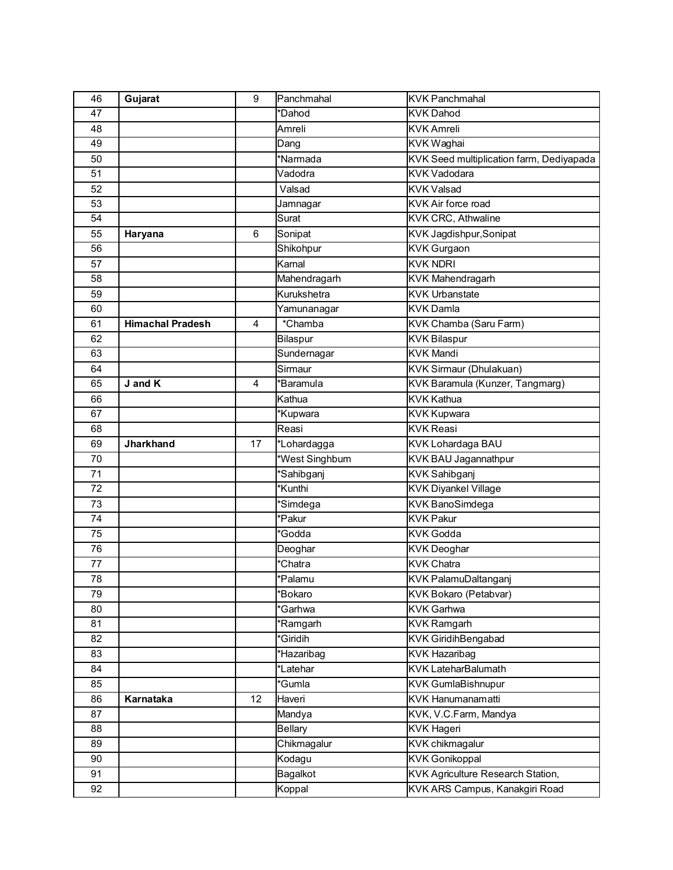| 46              | Gujarat                 | 9              | Panchmahal             | <b>KVK Panchmahal</b>                    |
|-----------------|-------------------------|----------------|------------------------|------------------------------------------|
| 47              |                         |                | *Dahod                 | <b>KVK Dahod</b>                         |
| 48              |                         |                | Amreli                 | <b>KVK Amreli</b>                        |
| 49              |                         |                | Dang                   | <b>KVK Waghai</b>                        |
| 50              |                         |                | *Narmada               | KVK Seed multiplication farm, Dediyapada |
| $\overline{51}$ |                         |                | Vadodra                | <b>KVK Vadodara</b>                      |
| 52              |                         |                | Valsad                 | <b>KVK Valsad</b>                        |
| 53              |                         |                | Jamnagar               | <b>KVK Air force road</b>                |
| 54              |                         |                | Surat                  | KVK CRC, Athwaline                       |
| 55              | Haryana                 | 6              | Sonipat                | KVK Jagdishpur, Sonipat                  |
| 56              |                         |                | Shikohpur              | <b>KVK Gurgaon</b>                       |
| 57              |                         |                | Karnal                 | <b>KVK NDRI</b>                          |
| 58              |                         |                | Mahendragarh           | <b>KVK Mahendragarh</b>                  |
| 59              |                         |                | Kurukshetra            | <b>KVK Urbanstate</b>                    |
| 60              |                         |                | Yamunanagar            | <b>KVK Damla</b>                         |
| 61              | <b>Himachal Pradesh</b> | $\overline{4}$ | *Chamba                | KVK Chamba (Saru Farm)                   |
| 62              |                         |                | Bilaspur               | <b>KVK Bilaspur</b>                      |
| 63              |                         |                | Sundernagar            | <b>KVK Mandi</b>                         |
| 64              |                         |                | Sirmaur                | <b>KVK Sirmaur (Dhulakuan)</b>           |
| 65              | J and K                 | 4              | *Baramula              | KVK Baramula (Kunzer, Tangmarg)          |
| 66              |                         |                | Kathua                 | <b>KVK Kathua</b>                        |
| 67              |                         |                | Kupwara                | <b>KVK Kupwara</b>                       |
| 68              |                         |                | Reasi                  | <b>KVK Reasi</b>                         |
| 69              | <b>Jharkhand</b>        | 17             | *Lohardagga            | KVK Lohardaga BAU                        |
| 70              |                         |                | <b>West Singhbum</b>   | <b>KVK BAU Jagannathpur</b>              |
| 71              |                         |                | 'Sahibganj             | <b>KVK Sahibganj</b>                     |
| 72              |                         |                | Kunthi <sup>*</sup>    | <b>KVK Diyankel Village</b>              |
| 73              |                         |                | 'Simdega               | <b>KVK BanoSimdega</b>                   |
| 74              |                         |                | $\sqrt[k]{Pakur}$      | <b>KVK Pakur</b>                         |
| 75              |                         |                | 'Godda                 | <b>KVK Godda</b>                         |
| 76              |                         |                | Deoghar                | <b>KVK Deoghar</b>                       |
| 77              |                         |                | *Chatra                | <b>KVK Chatra</b>                        |
| 78              |                         |                | *Palamu                | KVK PalamuDaltanganj                     |
| 79              |                         |                | *Bokaro                | <b>KVK Bokaro (Petabvar)</b>             |
| 80              |                         |                | 'Garhwa                | <b>KVK Garhwa</b>                        |
| 81              |                         |                | *Ramgarh               | <b>KVK Ramgarh</b>                       |
| 82              |                         |                | <i><b>'Giridih</b></i> | <b>KVK GiridihBengabad</b>               |
| 83              |                         |                | *Hazaribag             | <b>KVK Hazaribag</b>                     |
| 84              |                         |                | *Latehar               | <b>KVK LateharBalumath</b>               |
| 85              |                         |                | *Gumla                 | <b>KVK GumlaBishnupur</b>                |
| 86              | Karnataka               | 12             | Haveri                 | <b>KVK Hanumanamatti</b>                 |
| 87              |                         |                | Mandya                 | KVK, V.C.Farm, Mandya                    |
| 88              |                         |                | <b>Bellary</b>         | <b>KVK Hageri</b>                        |
| 89              |                         |                | Chikmagalur            | <b>KVK</b> chikmagalur                   |
| 90              |                         |                | Kodagu                 | <b>KVK Gonikoppal</b>                    |
| 91              |                         |                | Bagalkot               | KVK Agriculture Research Station,        |
| 92              |                         |                | Koppal                 | KVK ARS Campus, Kanakgiri Road           |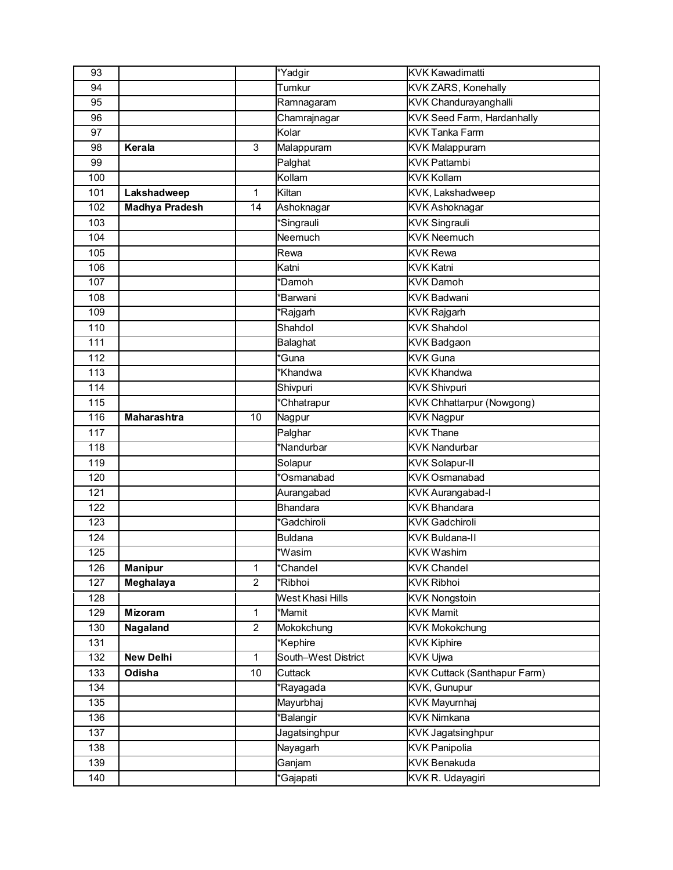| $\overline{93}$ |                       |                | *Yadgir                  | <b>KVK Kawadimatti</b>              |
|-----------------|-----------------------|----------------|--------------------------|-------------------------------------|
| 94              |                       |                | Tumkur                   | <b>KVK ZARS, Konehally</b>          |
| 95              |                       |                | Ramnagaram               | KVK Chandurayanghalli               |
| 96              |                       |                | Chamrajnagar             | KVK Seed Farm, Hardanhally          |
| 97              |                       |                | Kolar                    | <b>KVK Tanka Farm</b>               |
| 98              | Kerala                | 3              | Malappuram               | <b>KVK Malappuram</b>               |
| 99              |                       |                | Palghat                  | <b>KVK Pattambi</b>                 |
| 100             |                       |                | Kollam                   | <b>KVK Kollam</b>                   |
| 101             | Lakshadweep           | 1              | Kiltan                   | KVK, Lakshadweep                    |
| 102             | <b>Madhya Pradesh</b> | 14             | Ashoknagar               | <b>KVK Ashoknagar</b>               |
| 103             |                       |                | *Singrauli               | <b>KVK Singrauli</b>                |
| 104             |                       |                | Neemuch                  | <b>KVK Neemuch</b>                  |
| 105             |                       |                | Rewa                     | <b>KVK Rewa</b>                     |
| 106             |                       |                | Katni                    | <b>KVK Katni</b>                    |
| 107             |                       |                | *Damoh                   | <b>KVK Damoh</b>                    |
| 108             |                       |                | 'Barwani                 | <b>KVK Badwani</b>                  |
| 109             |                       |                | *Rajgarh                 | <b>KVK Rajgarh</b>                  |
| 110             |                       |                | Shahdol                  | <b>KVK Shahdol</b>                  |
| 111             |                       |                | Balaghat                 | <b>KVK Badgaon</b>                  |
| 112             |                       |                | <i><b>'Guna</b></i>      | <b>KVK Guna</b>                     |
| 113             |                       |                | Khandwa <sup>*</sup>     | <b>KVK Khandwa</b>                  |
| 114             |                       |                | Shivpuri                 | <b>KVK Shivpuri</b>                 |
| 115             |                       |                | <i><b>Chhatrapur</b></i> | <b>KVK Chhattarpur (Nowgong)</b>    |
| 116             | Maharashtra           | 10             | Nagpur                   | <b>KVK Nagpur</b>                   |
| 117             |                       |                | Palghar                  | <b>KVK Thane</b>                    |
| 118             |                       |                | *Nandurbar               | <b>KVK Nandurbar</b>                |
| 119             |                       |                | Solapur                  | <b>KVK Solapur-II</b>               |
| 120             |                       |                | *Osmanabad               | <b>KVK Osmanabad</b>                |
| 121             |                       |                | Aurangabad               | <b>KVK Aurangabad-I</b>             |
| 122             |                       |                | <b>Bhandara</b>          | <b>KVK Bhandara</b>                 |
| 123             |                       |                | *Gadchiroli              | <b>KVK Gadchiroli</b>               |
| 124             |                       |                | <b>Buldana</b>           | <b>KVK Buldana-II</b>               |
| 125             |                       |                | *Wasim                   | <b>KVK Washim</b>                   |
| 126             | <b>Manipur</b>        | $\mathbf{1}$   | *Chandel                 | <b>KVK Chandel</b>                  |
| 127             | Meghalaya             | $\overline{2}$ | Ribhoi <sup>®</sup>      | <b>KVK Ribhoi</b>                   |
| 128             |                       |                | West Khasi Hills         | <b>KVK Nongstoin</b>                |
| 129             | Mizoram               | 1              | *Mamit                   | <b>KVK Mamit</b>                    |
| 130             | Nagaland              | $\overline{a}$ | Mokokchung               | <b>KVK Mokokchung</b>               |
| 131             |                       |                | *Kephire                 | <b>KVK Kiphire</b>                  |
| 132             | New Delhi             | $\mathbf{1}$   | South-West District      | <b>KVK Ujwa</b>                     |
| 133             | Odisha                | 10             | Cuttack                  | <b>KVK Cuttack (Santhapur Farm)</b> |
| 134             |                       |                | Rayagada                 | <b>KVK, Gunupur</b>                 |
| 135             |                       |                | Mayurbhaj                | <b>KVK Mayurnhaj</b>                |
| 136             |                       |                | <b>Balangir</b>          | <b>KVK Nimkana</b>                  |
| 137             |                       |                | Jagatsinghpur            | <b>KVK Jagatsinghpur</b>            |
| 138             |                       |                | Nayagarh                 | <b>KVK Panipolia</b>                |
| 139             |                       |                | Ganjam                   | <b>KVK Benakuda</b>                 |
| 140             |                       |                | <i><b>*Gajapati</b></i>  | KVK R. Udayagiri                    |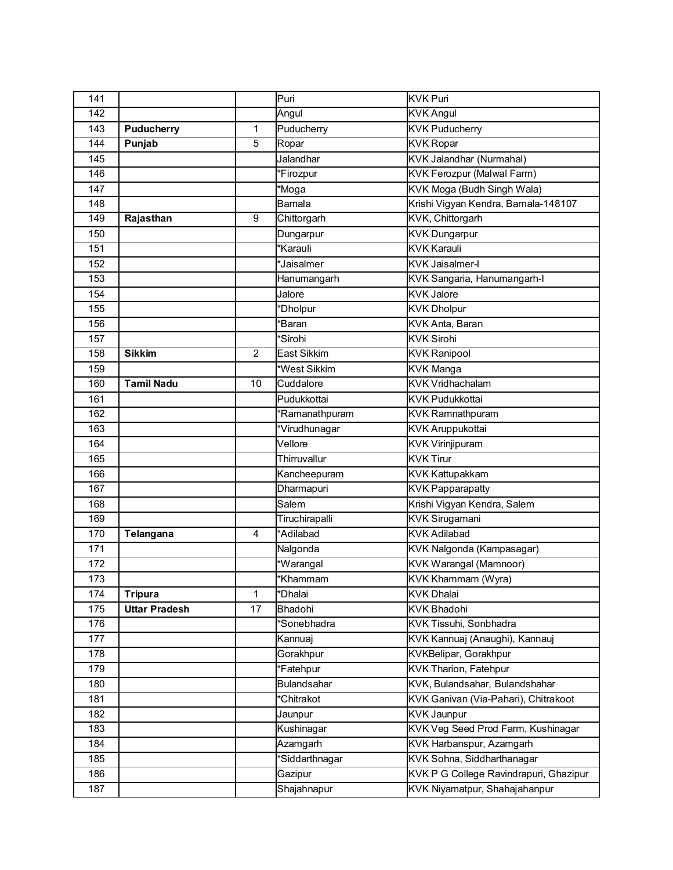| 141 |                      |                | Puri                 | <b>KVK Puri</b>                        |
|-----|----------------------|----------------|----------------------|----------------------------------------|
| 142 |                      |                | Angul                | <b>KVK Angul</b>                       |
| 143 | <b>Puducherry</b>    | $\mathbf{1}$   | Puducherry           | <b>KVK Puducherry</b>                  |
| 144 | Punjab               | 5              | Ropar                | <b>KVK</b> Ropar                       |
| 145 |                      |                | Jalandhar            | <b>KVK Jalandhar (Nurmahal)</b>        |
| 146 |                      |                | *Firozpur            | <b>KVK Ferozpur (Malwal Farm)</b>      |
| 147 |                      |                | <i><b>Moga</b></i>   | KVK Moga (Budh Singh Wala)             |
| 148 |                      |                | Barnala              | Krishi Vigyan Kendra, Barnala-148107   |
| 149 | Rajasthan            | 9              | Chittorgarh          | KVK, Chittorgarh                       |
| 150 |                      |                | Dungarpur            | <b>KVK Dungarpur</b>                   |
| 151 |                      |                | <b>Karauli</b>       | <b>KVK Karauli</b>                     |
| 152 |                      |                | *Jaisalmer           | <b>KVK Jaisalmer-I</b>                 |
| 153 |                      |                | Hanumangarh          | KVK Sangaria, Hanumangarh-I            |
| 154 |                      |                | Jalore               | <b>KVK Jalore</b>                      |
| 155 |                      |                | *Dholpur             | <b>KVK Dholpur</b>                     |
| 156 |                      |                | 'Baran               | KVK Anta, Baran                        |
| 157 |                      |                | <i><b>Sirohi</b></i> | <b>KVK Sirohi</b>                      |
| 158 | <b>Sikkim</b>        | $\overline{2}$ | East Sikkim          | <b>KVK Ranipool</b>                    |
| 159 |                      |                | West Sikkim          | <b>KVK Manga</b>                       |
| 160 | <b>Tamil Nadu</b>    | 10             | Cuddalore            | <b>KVK Vridhachalam</b>                |
| 161 |                      |                | Pudukkottai          | <b>KVK Pudukkottai</b>                 |
| 162 |                      |                | *Ramanathpuram       | <b>KVK Ramnathpuram</b>                |
| 163 |                      |                | *Virudhunagar        | <b>KVK Aruppukottai</b>                |
| 164 |                      |                | Vellore              | <b>KVK Virinjipuram</b>                |
| 165 |                      |                | Thirruvallur         | <b>KVK Tirur</b>                       |
| 166 |                      |                | Kancheepuram         | <b>KVK Kattupakkam</b>                 |
| 167 |                      |                | Dharmapuri           | <b>KVK Papparapatty</b>                |
| 168 |                      |                | Salem                | Krishi Vigyan Kendra, Salem            |
| 169 |                      |                | Tiruchirapalli       | <b>KVK Sirugamani</b>                  |
| 170 | Telangana            | 4              | *Adilabad            | <b>KVK Adilabad</b>                    |
| 171 |                      |                | Nalgonda             | KVK Nalgonda (Kampasagar)              |
| 172 |                      |                | *Warangal            | <b>KVK Warangal (Mamnoor)</b>          |
| 173 |                      |                | *Khammam             | KVK Khammam (Wyra)                     |
| 174 | <b>Tripura</b>       | $\mathbf{1}$   | *Dhalai              | <b>KVK Dhalai</b>                      |
| 175 | <b>Uttar Pradesh</b> | 17             | Bhadohi              | <b>KVK Bhadohi</b>                     |
| 176 |                      |                | *Sonebhadra          | KVK Tissuhi, Sonbhadra                 |
| 177 |                      |                | Kannuaj              | KVK Kannuaj (Anaughi), Kannauj         |
| 178 |                      |                | Gorakhpur            | <b>KVKBelipar, Gorakhpur</b>           |
| 179 |                      |                | *Fatehpur            | <b>KVK Tharion, Fatehpur</b>           |
| 180 |                      |                | <b>Bulandsahar</b>   | KVK, Bulandsahar, Bulandshahar         |
| 181 |                      |                | *Chitrakot           | KVK Ganivan (Via-Pahari), Chitrakoot   |
| 182 |                      |                | Jaunpur              | <b>KVK Jaunpur</b>                     |
| 183 |                      |                | Kushinagar           | KVK Veg Seed Prod Farm, Kushinagar     |
| 184 |                      |                | Azamgarh             | KVK Harbanspur, Azamgarh               |
| 185 |                      |                | 'Siddarthnagar       | KVK Sohna, Siddharthanagar             |
| 186 |                      |                | Gazipur              | KVK P G College Ravindrapuri, Ghazipur |
| 187 |                      |                | Shajahnapur          | KVK Niyamatpur, Shahajahanpur          |